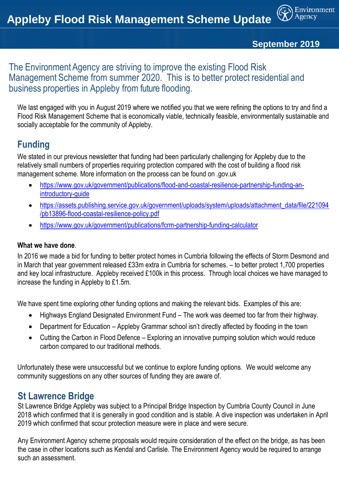

Environment

#### The Environment Agency are striving to improve the existing Flood Risk Management Scheme from summer 2020. This is to better protect residential and business properties in Appleby from future flooding.

We last engaged with you in August 2019 where we notified you that we were refining the options to try and find a Flood Risk Management Scheme that is economically viable, technically feasible, environmentally sustainable and socially acceptable for the community of Appleby.

# **Funding**

We stated in our previous newsletter that funding had been particularly challenging for Appleby due to the relatively small numbers of properties requiring protection compared with the cost of building a flood risk management scheme. More information on the process can be found on .gov.uk

- [https://www.gov.uk/government/publications/flood-and-coastal-resilience-partnership-funding-an](https://www.gov.uk/government/publications/flood-and-coastal-resilience-partnership-funding-an-introductory-guide)[introductory-guide](https://www.gov.uk/government/publications/flood-and-coastal-resilience-partnership-funding-an-introductory-guide)
- [https://assets.publishing.service.gov.uk/government/uploads/system/uploads/attachment\\_data/file/221094](https://assets.publishing.service.gov.uk/government/uploads/system/uploads/attachment_data/file/221094/pb13896-flood-coastal-resilience-policy.pdf) [/pb13896-flood-coastal-resilience-policy.pdf](https://assets.publishing.service.gov.uk/government/uploads/system/uploads/attachment_data/file/221094/pb13896-flood-coastal-resilience-policy.pdf)
- <https://www.gov.uk/government/publications/fcrm-partnership-funding-calculator>

#### **What we have done**.

In 2016 we made a bid for funding to better protect homes in Cumbria following the effects of Storm Desmond and in March that year government released £33m extra in Cumbria for schemes. – to better protect 1,700 properties and key local infrastructure. Appleby received £100k in this process. Through local choices we have managed to increase the funding in Appleby to £1.5m.

We have spent time exploring other funding options and making the relevant bids. Examples of this are:

- Highways England Designated Environment Fund The work was deemed too far from their highway.
- Department for Education Appleby Grammar school isn't directly affected by flooding in the town
- Cutting the Carbon in Flood Defence Exploring an innovative pumping solution which would reduce carbon compared to our traditional methods.

Unfortunately these were unsuccessful but we continue to explore funding options. We would welcome any community suggestions on any other sources of funding they are aware of.

#### **St Lawrence Bridge**

St Lawrence Bridge Appleby was subject to a Principal Bridge Inspection by Cumbria County Council in June 2018 which confirmed that it is generally in good condition and is stable. A dive inspection was undertaken in April 2019 which confirmed that scour protection measure were in place and were secure.

Any Environment Agency scheme proposals would require consideration of the effect on the bridge, as has been the case in other locations such as Kendal and Carlisle. The Environment Agency would be required to arrange such an assessment.